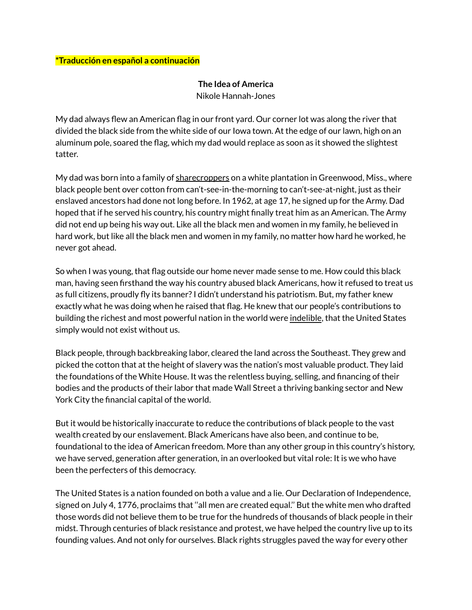## **The Idea of America**

Nikole Hannah-Jones

My dad always flew an American flag in our front yard. Our corner lot was along the river that divided the black side from the white side of our Iowa town. At the edge of our lawn, high on an aluminum pole, soared the flag, which my dad would replace as soon as it showed the slightest tatter.

My dad was born into a family of sharecroppers on a white plantation in Greenwood, Miss., where black people bent over cotton from can't-see-in-the-morning to can't-see-at-night, just as their enslaved ancestors had done not long before. In 1962, at age 17, he signed up for the Army. Dad hoped that if he served his country, his country might finally treat him as an American. The Army did not end up being his way out. Like all the black men and women in my family, he believed in hard work, but like all the black men and women in my family, no matter how hard he worked, he never got ahead.

So when I was young, that flag outside our home never made sense to me. How could this black man, having seen firsthand the way his country abused black Americans, how it refused to treat us as full citizens, proudly fly its banner?I didn't understand his patriotism. But, my father knew exactly what he was doing when he raised that flag. He knew that our people's contributions to building the richest and most powerful nation in the world were indelible, that the United States simply would not exist without us.

Black people, through backbreaking labor, cleared the land across the Southeast. They grew and picked the cotton that at the height of slavery was the nation's most valuable product. They laid the foundations of the White House. It was the relentless buying, selling, and financing of their bodies and the products of their labor that made Wall Street a thriving banking sector and New York City the financial capital of the world.

But it would be historically inaccurate to reduce the contributions of black people to the vast wealth created by our enslavement. Black Americans have also been, and continue to be, foundational to the idea of American freedom. More than any other group in this country's history, we have served, generation after generation, in an overlooked but vital role: It is we who have been the perfecters of this democracy.

The United States is a nation founded on both a value and a lie. Our Declaration of Independence, signed on July 4, 1776, proclaims that ''all men are created equal.'' But the white men who drafted those words did not believe them to be true for the hundreds of thousands of black people in their midst. Through centuries of black resistance and protest, we have helped the country live up to its founding values. And not only for ourselves. Black rights struggles paved the way for every other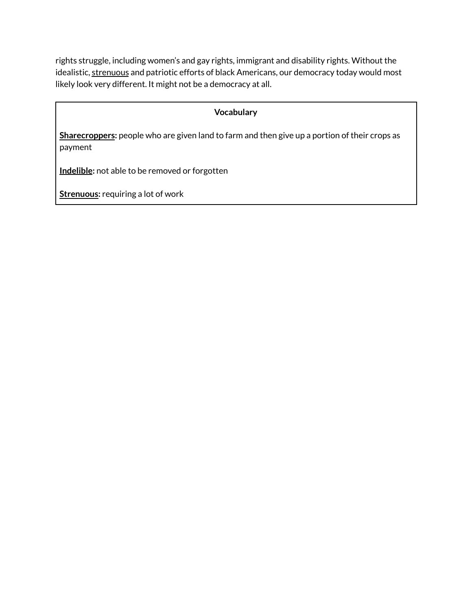rights struggle, including women's and gay rights, immigrant and disability rights. Without the idealistic, strenuous and patriotic efforts of black Americans, our democracy today would most likely look very different. It might not be a democracy at all.

## **Vocabulary**

**Sharecroppers:** people who are given land to farm and then give up a portion of their crops as payment

**Indelible:** not able to be removed or forgotten

**Strenuous:** requiring a lot of work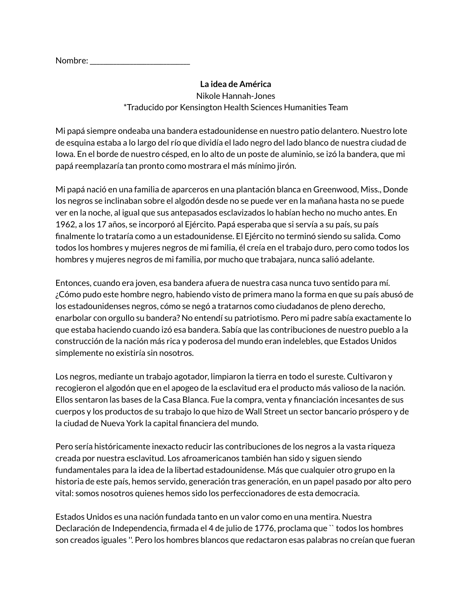Nombre:\_\_\_\_\_\_\_\_\_\_\_\_\_\_\_\_\_\_\_\_\_\_\_\_\_\_\_\_\_\_

**La idea de América** Nikole Hannah-Jones \*Traducido por Kensington Health Sciences Humanities Team

Mi papá siempre ondeaba una bandera estadounidense en nuestro patio delantero. Nuestro lote de esquina estaba a lo largo del río que dividía el lado negro del lado blanco de nuestra ciudad de Iowa. En el borde de nuestro césped, en lo alto de un poste de aluminio, se izó la bandera, que mi papá reemplazaría tan pronto como mostrara el más mínimo jirón.

Mi papá nació en una familia de aparceros en una plantación blanca en Greenwood, Miss., Donde los negros se inclinaban sobre el algodón desde no se puede ver en la mañana hasta no se puede ver en la noche, al igual que sus antepasados esclavizados lo habían hecho no mucho antes. En 1962, a los 17 años, se incorporó al Ejército. Papá esperaba que si servía a su país, su país finalmente lo trataría como a un estadounidense. El Ejército no terminó siendo su salida. Como todos los hombres y mujeres negros de mi familia, él creía en el trabajo duro, pero como todos los hombres y mujeres negros de mi familia, por mucho que trabajara, nunca salió adelante.

Entonces, cuando era joven, esa bandera afuera de nuestra casa nunca tuvo sentido para mí. ¿Cómo pudo este hombre negro, habiendo visto de primera mano la forma en que su país abusó de los estadounidenses negros, cómo se negó a tratarnos como ciudadanos de pleno derecho, enarbolar con orgullo su bandera? No entendí su patriotismo. Pero mi padre sabía exactamente lo que estaba haciendo cuando izó esa bandera. Sabía que las contribuciones de nuestro pueblo a la construcción de la nación más rica y poderosa del mundo eran indelebles, que Estados Unidos simplemente no existiría sin nosotros.

Los negros, mediante un trabajo agotador, limpiaron la tierra en todo el sureste. Cultivaron y recogieron el algodón que en el apogeo de la esclavitud era el producto más valioso de la nación. Ellos sentaron las bases de la Casa Blanca. Fue la compra, venta y financiación incesantes de sus cuerpos y los productos de su trabajo lo que hizo de Wall Street un sector bancario próspero y de la ciudad de Nueva York la capital financiera del mundo.

Pero sería históricamente inexacto reducir las contribuciones de los negros a la vasta riqueza creada por nuestra esclavitud. Los afroamericanos también han sido y siguen siendo fundamentales para la idea de la libertad estadounidense. Más que cualquier otro grupo en la historia de este país, hemos servido, generación tras generación, en un papel pasado por alto pero vital: somos nosotros quienes hemos sido los perfeccionadores de esta democracia.

Estados Unidos es una nación fundada tanto en un valor como en una mentira. Nuestra Declaración de Independencia, firmada el 4 de julio de 1776, proclama que `` todos los hombres son creados iguales ''. Pero los hombres blancos que redactaron esas palabras no creían que fueran